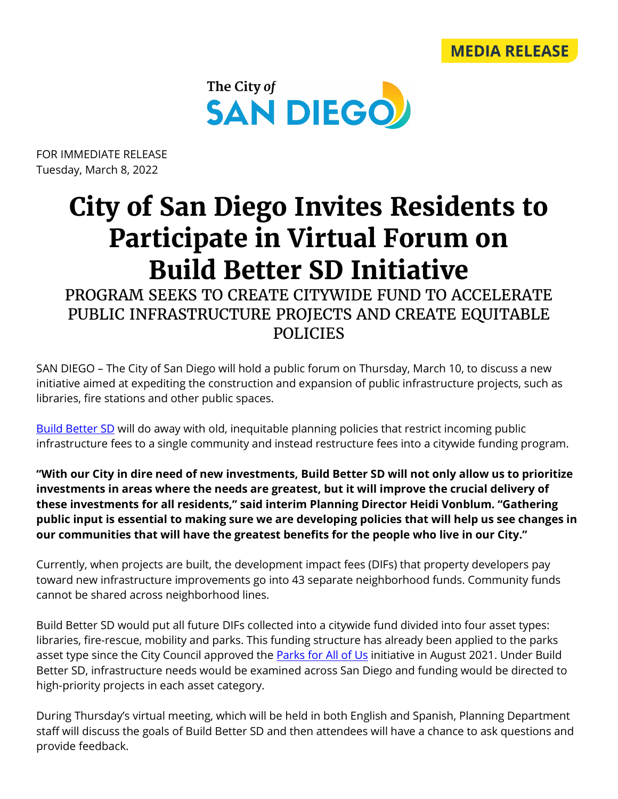



FOR IMMEDIATE RELEASE Tuesday, March 8, 2022

## **City of San Diego Invites Residents to Participate in Virtual Forum on Build Better SD Initiative**

PROGRAM SEEKS TO CREATE CITYWIDE FUND TO ACCELERATE PUBLIC INFRASTRUCTURE PROJECTS AND CREATE EQUITABLE POLICIES

SAN DIEGO – The City of San Diego will hold a public forum on Thursday, March 10, to discuss a new initiative aimed at expediting the construction and expansion of public infrastructure projects, such as libraries, fire stations and other public spaces.

[Build Better SD](https://www.sandiego.gov/buildbettersd) will do away with old, inequitable planning policies that restrict incoming public infrastructure fees to a single community and instead restructure fees into a citywide funding program.

**"With our City in dire need of new investments, Build Better SD will not only allow us to prioritize investments in areas where the needs are greatest, but it will improve the crucial delivery of these investments for all residents," said interim Planning Director Heidi Vonblum. "Gathering public input is essential to making sure we are developing policies that will help us see changes in our communities that will have the greatest benefits for the people who live in our City."** 

Currently, when projects are built, the development impact fees (DIFs) that property developers pay toward new infrastructure improvements go into 43 separate neighborhood funds. Community funds cannot be shared across neighborhood lines.

Build Better SD would put all future DIFs collected into a citywide fund divided into four asset types: libraries, fire-rescue, mobility and parks. This funding structure has already been applied to the parks asset type since the City Council approved the **Parks for All of Us** initiative in August 2021. Under Build Better SD, infrastructure needs would be examined across San Diego and funding would be directed to high-priority projects in each asset category.

During Thursday's virtual meeting, which will be held in both English and Spanish, Planning Department staff will discuss the goals of Build Better SD and then attendees will have a chance to ask questions and provide feedback.